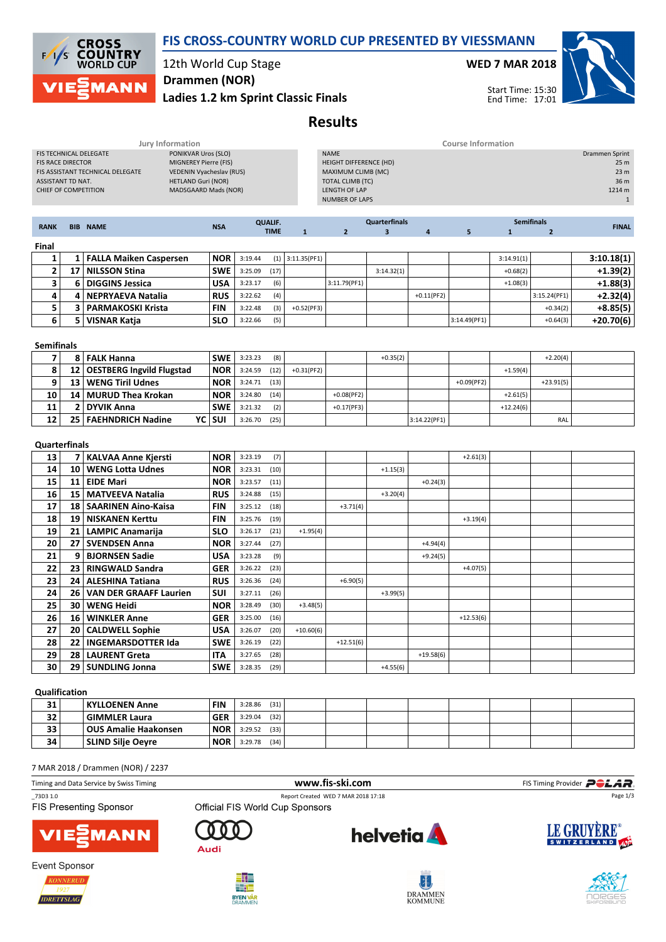

 $\frac{1}{s}$ **MANN** ИЕ

12th World Cup Stage Drammen (NOR)

Ladies 1.2 km Sprint Classic Finals

## WED 7 MAR 2018



Start Time: 15:30 End Time: 17:01

## Results

| Jury Information                                                                                                                                                                                                                                                            |                 |                               |            |  |                           | <b>Course Information</b>     |                                                                                                                                                           |                |                                        |                         |              |              |                                     |              |
|-----------------------------------------------------------------------------------------------------------------------------------------------------------------------------------------------------------------------------------------------------------------------------|-----------------|-------------------------------|------------|--|---------------------------|-------------------------------|-----------------------------------------------------------------------------------------------------------------------------------------------------------|----------------|----------------------------------------|-------------------------|--------------|--------------|-------------------------------------|--------------|
| PONIKVAR Uros (SLO)<br>FIS TECHNICAL DELEGATE<br><b>FIS RACE DIRECTOR</b><br><b>MIGNEREY Pierre (FIS)</b><br>FIS ASSISTANT TECHNICAL DELEGATE<br>VEDENIN Vyacheslav (RUS)<br><b>HETLAND Guri (NOR)</b><br>ASSISTANT TD NAT.<br>MADSGAARD Mads (NOR)<br>CHIEF OF COMPETITION |                 |                               |            |  |                           |                               | <b>NAME</b><br>Drammen Sprint<br><b>HEIGHT DIFFERENCE (HD)</b><br>MAXIMUM CLIMB (MC)<br><b>TOTAL CLIMB (TC)</b><br>LENGTH OF LAP<br><b>NUMBER OF LAPS</b> |                |                                        |                         |              |              |                                     |              |
| <b>RANK</b>                                                                                                                                                                                                                                                                 |                 | <b>BIB NAME</b>               | <b>NSA</b> |  |                           | <b>QUALIF.</b><br><b>TIME</b> | $\mathbf{1}$                                                                                                                                              | 2 <sup>2</sup> | <b>Quarterfinals</b><br>3 <sup>1</sup> | $\overline{\mathbf{4}}$ | 5            | $\mathbf{1}$ | <b>Semifinals</b><br>$\overline{2}$ | <b>FINAL</b> |
| Final                                                                                                                                                                                                                                                                       |                 |                               |            |  |                           |                               |                                                                                                                                                           |                |                                        |                         |              |              |                                     |              |
| 1                                                                                                                                                                                                                                                                           | $\mathbf{1}$    | <b>FALLA Maiken Caspersen</b> | <b>NOR</b> |  | 3:19.44                   |                               | $(1)$ 3:11.35(PF1)                                                                                                                                        |                |                                        |                         |              | 3:14.91(1)   |                                     | 3:10.18(1)   |
| $\overline{\mathbf{2}}$                                                                                                                                                                                                                                                     | 17              | <b>NILSSON Stina</b>          | <b>SWE</b> |  | 3:25.09                   | (17)                          |                                                                                                                                                           |                | 3:14.32(1)                             |                         |              | $+0.68(2)$   |                                     | $+1.39(2)$   |
| 3                                                                                                                                                                                                                                                                           | 6               | <b>DIGGINS Jessica</b>        | <b>USA</b> |  | 3:23.17                   | (6)                           |                                                                                                                                                           | 3:11.79(PF1)   |                                        |                         |              | $+1.08(3)$   |                                     | $+1.88(3)$   |
| 4                                                                                                                                                                                                                                                                           | 4               | <b>NEPRYAEVA Natalia</b>      | <b>RUS</b> |  | 3:22.62                   | (4)                           |                                                                                                                                                           |                |                                        | $+0.11(PF2)$            |              |              | 3:15.24(PF1)                        | $+2.32(4)$   |
| 5                                                                                                                                                                                                                                                                           | 3               | <b>PARMAKOSKI Krista</b>      | <b>FIN</b> |  | 3:22.48                   | (3)                           | $+0.52(PF3)$                                                                                                                                              |                |                                        |                         |              |              | $+0.34(2)$                          | $+8.85(5)$   |
| 6                                                                                                                                                                                                                                                                           | 5               | <b>VISNAR Katja</b>           | <b>SLO</b> |  | 3:22.66                   | (5)                           |                                                                                                                                                           |                |                                        |                         | 3:14.49(PF1) |              | $+0.64(3)$                          | $+20.70(6)$  |
| <b>Semifinals</b>                                                                                                                                                                                                                                                           |                 |                               |            |  |                           |                               |                                                                                                                                                           |                |                                        |                         |              |              |                                     |              |
| $\overline{7}$                                                                                                                                                                                                                                                              |                 | 8   FALK Hanna                | <b>SWE</b> |  | 3:23.23                   | (8)                           |                                                                                                                                                           |                | $+0.35(2)$                             |                         |              |              | $+2.20(4)$                          |              |
| 8                                                                                                                                                                                                                                                                           |                 | 12 OESTBERG Ingvild Flugstad  | <b>NOR</b> |  | 3:24.59                   | (12)                          | $+0.31(PF2)$                                                                                                                                              |                |                                        |                         |              | $+1.59(4)$   |                                     |              |
| 9                                                                                                                                                                                                                                                                           | 13 <sup>1</sup> | <b>WENG Tiril Udnes</b>       | <b>NOR</b> |  | 3:24.71                   | (13)                          |                                                                                                                                                           |                |                                        |                         | $+0.09(PF2)$ |              | $+23.91(5)$                         |              |
| 10                                                                                                                                                                                                                                                                          |                 | 14   MURUD Thea Krokan        | <b>NOR</b> |  | 3:24.80                   | (14)                          |                                                                                                                                                           | $+0.08(PF2)$   |                                        |                         |              | $+2.61(5)$   |                                     |              |
| 11                                                                                                                                                                                                                                                                          | 2               | <b>DYVIK Anna</b>             | <b>SWE</b> |  | 3:21.32                   | (2)                           |                                                                                                                                                           | $+0.17(PF3)$   |                                        |                         |              | $+12.24(6)$  |                                     |              |
| 12                                                                                                                                                                                                                                                                          |                 | 25   FAEHNDRICH Nadine        | $YC$ sul   |  | 3:26.70                   | (25)                          |                                                                                                                                                           |                |                                        | 3:14.22(PF1)            |              |              | RAL                                 |              |
| <b>Quarterfinals</b>                                                                                                                                                                                                                                                        |                 |                               |            |  |                           |                               |                                                                                                                                                           |                |                                        |                         |              |              |                                     |              |
| 13                                                                                                                                                                                                                                                                          |                 | 7   KALVAA Anne Kjersti       | <b>NOR</b> |  | 3:23.19                   | (7)                           |                                                                                                                                                           |                |                                        |                         | $+2.61(3)$   |              |                                     |              |
| 14                                                                                                                                                                                                                                                                          | 10 <sup>1</sup> | <b>WENG Lotta Udnes</b>       | <b>NOR</b> |  | 3:23.31                   | (10)                          |                                                                                                                                                           |                | $+1.15(3)$                             |                         |              |              |                                     |              |
| 15                                                                                                                                                                                                                                                                          |                 | 11   EIDE Mari                | <b>NOR</b> |  | 3:23.57                   | (11)                          |                                                                                                                                                           |                |                                        | $+0.24(3)$              |              |              |                                     |              |
| 16                                                                                                                                                                                                                                                                          | 15 <sup>1</sup> | <b>MATVEEVA Natalia</b>       | <b>RUS</b> |  | 3:24.88                   | (15)                          |                                                                                                                                                           |                | $+3.20(4)$                             |                         |              |              |                                     |              |
| 17                                                                                                                                                                                                                                                                          | 18 <sup>1</sup> | <b>SAARINEN Aino-Kaisa</b>    | <b>FIN</b> |  | 3:25.12                   | (18)                          |                                                                                                                                                           | $+3.71(4)$     |                                        |                         |              |              |                                     |              |
| 18                                                                                                                                                                                                                                                                          | 19              | <b>NISKANEN Kerttu</b>        | <b>FIN</b> |  | 3:25.76                   | (19)                          |                                                                                                                                                           |                |                                        |                         | $+3.19(4)$   |              |                                     |              |
| 19                                                                                                                                                                                                                                                                          | 21              | <b>LAMPIC Anamarija</b>       | <b>SLO</b> |  | 3:26.17                   | (21)                          | $+1.95(4)$                                                                                                                                                |                |                                        |                         |              |              |                                     |              |
| 20                                                                                                                                                                                                                                                                          | 27              | <b>SVENDSEN Anna</b>          | <b>NOR</b> |  | 3:27.44                   | (27)                          |                                                                                                                                                           |                |                                        | $+4.94(4)$              |              |              |                                     |              |
| 21                                                                                                                                                                                                                                                                          | 9               | <b>BJORNSEN Sadie</b>         | <b>USA</b> |  | 3:23.28                   | (9)                           |                                                                                                                                                           |                |                                        | $+9.24(5)$              |              |              |                                     |              |
| 22                                                                                                                                                                                                                                                                          | 23              | <b>RINGWALD Sandra</b>        | GER        |  | 3:26.22                   | (23)                          |                                                                                                                                                           |                |                                        |                         | $+4.07(5)$   |              |                                     |              |
| 23                                                                                                                                                                                                                                                                          | 24              | <b>ALESHINA Tatiana</b>       | <b>RUS</b> |  | 3:26.36                   | (24)                          |                                                                                                                                                           | $+6.90(5)$     |                                        |                         |              |              |                                     |              |
| 24                                                                                                                                                                                                                                                                          | 26              | <b>VAN DER GRAAFF Laurien</b> | <b>SUI</b> |  | 3:27.11                   | (26)                          |                                                                                                                                                           |                | $+3.99(5)$                             |                         |              |              |                                     |              |
| 25                                                                                                                                                                                                                                                                          | 30 <sup>1</sup> | <b>WENG Heidi</b>             | <b>NOR</b> |  | 3:28.49                   | (30)                          | $+3.48(5)$                                                                                                                                                |                |                                        |                         |              |              |                                     |              |
| 26                                                                                                                                                                                                                                                                          | 16              | <b>WINKLER Anne</b>           | GER        |  | 3:25.00                   | (16)                          |                                                                                                                                                           |                |                                        |                         | $+12.53(6)$  |              |                                     |              |
| 27                                                                                                                                                                                                                                                                          | 20              | <b>CALDWELL Sophie</b>        | USA        |  | 3:26.07                   | (20)                          | $+10.60(6)$                                                                                                                                               |                |                                        |                         |              |              |                                     |              |
| 28                                                                                                                                                                                                                                                                          |                 | 22   INGEMARSDOTTER Ida       |            |  | <b>SWE</b> $3:26.19$ (22) |                               |                                                                                                                                                           | $+12.51(6)$    |                                        |                         |              |              |                                     |              |
| 29                                                                                                                                                                                                                                                                          |                 | 28   LAURENT Greta            | ITA        |  | $3:27.65$ (28)            |                               |                                                                                                                                                           |                |                                        | $+19.58(6)$             |              |              |                                     |              |
| 30                                                                                                                                                                                                                                                                          |                 | 29   SUNDLING Jonna           | SWE        |  | 3:28.35                   | (29)                          |                                                                                                                                                           |                | $+4.55(6)$                             |                         |              |              |                                     |              |
| Qualification                                                                                                                                                                                                                                                               |                 |                               |            |  |                           |                               |                                                                                                                                                           |                |                                        |                         |              |              |                                     |              |
| 31                                                                                                                                                                                                                                                                          |                 | <b>KYLLOENEN Anne</b>         | <b>FIN</b> |  | $3:28.86$ (31)            |                               |                                                                                                                                                           |                |                                        |                         |              |              |                                     |              |
| 32                                                                                                                                                                                                                                                                          |                 | <b>GIMMLER Laura</b>          | <b>GER</b> |  | $3:29.04$ (32)            |                               |                                                                                                                                                           |                |                                        |                         |              |              |                                     |              |
| 33                                                                                                                                                                                                                                                                          |                 | <b>OUS Amalie Haakonsen</b>   |            |  | <b>NOR</b> 3:29.52 (33)   |                               |                                                                                                                                                           |                |                                        |                         |              |              |                                     |              |

## OUS Amalie Haakonsen NOR 3:29.52 (33) **34 SLIND Silje Oeyre NOR** 3:29.78 (34)

| 7 MAR 2018 / Drammen (NOR) / 2237 |  |
|-----------------------------------|--|
|                                   |  |

| Timing and Data Service by Swiss Timing |                                                  | www.fis-ski.com                     | FIS Timing Provider <b>POLAR</b> |
|-----------------------------------------|--------------------------------------------------|-------------------------------------|----------------------------------|
| _73D3 1.0                               |                                                  | Report Created WED 7 MAR 2018 17:18 | Page 1/3                         |
| <b>FIS Presenting Sponsor</b>           | Official FIS World Cup Sponsors                  |                                     |                                  |
| <b>VIE EMANN</b>                        | $\begin{array}{c} 0 & 0 & 0 \end{array}$<br>Audi | <b>helvetia</b>                     | LE GRUYERE                       |













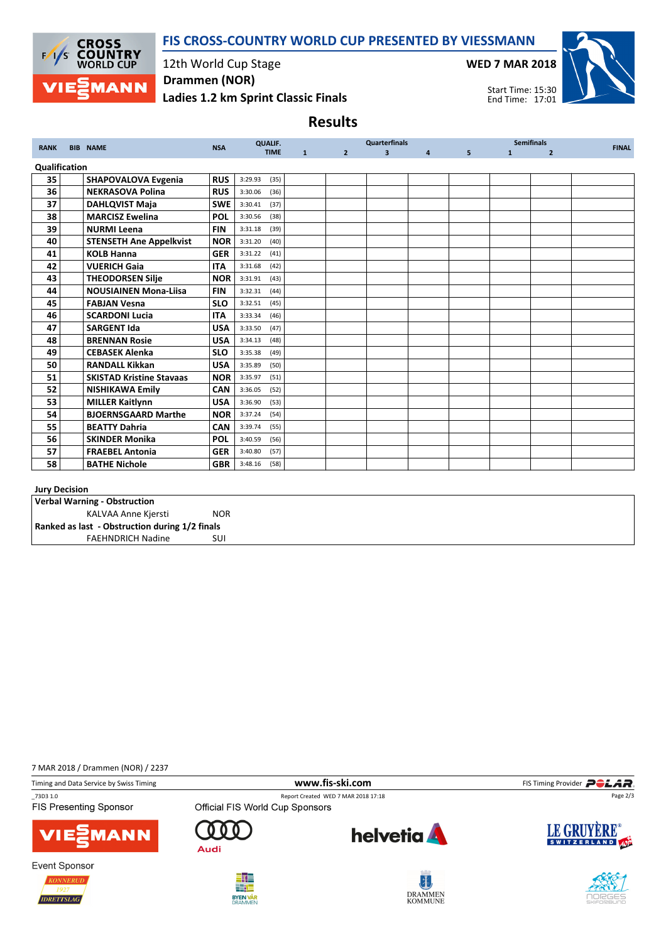



12th World Cup Stage Drammen (NOR)

Ladies 1.2 km Sprint Classic Finals

WED 7 MAR 2018



Start Time: 15:30 End Time: 17:01

Results

| <b>RANK</b>          | <b>BIB NAME</b>                 | <b>NSA</b> | <b>QUALIF.</b>  |              | <b>Quarterfinals</b> |                |                | <b>Semifinals</b> |              |                | <b>FINAL</b> |
|----------------------|---------------------------------|------------|-----------------|--------------|----------------------|----------------|----------------|-------------------|--------------|----------------|--------------|
|                      |                                 |            | <b>TIME</b>     | $\mathbf{1}$ | $\overline{2}$       | $\overline{3}$ | $\overline{4}$ | 5                 | $\mathbf{1}$ | $\overline{2}$ |              |
| Qualification        |                                 |            |                 |              |                      |                |                |                   |              |                |              |
| 35                   | <b>SHAPOVALOVA Evgenia</b>      | <b>RUS</b> | 3:29.93<br>(35) |              |                      |                |                |                   |              |                |              |
| 36                   | <b>NEKRASOVA Polina</b>         | <b>RUS</b> | 3:30.06<br>(36) |              |                      |                |                |                   |              |                |              |
| 37                   | <b>DAHLQVIST Maja</b>           | <b>SWE</b> | 3:30.41<br>(37) |              |                      |                |                |                   |              |                |              |
| 38                   | <b>MARCISZ Ewelina</b>          | <b>POL</b> | 3:30.56<br>(38) |              |                      |                |                |                   |              |                |              |
| 39                   | <b>NURMI Leena</b>              | <b>FIN</b> | 3:31.18<br>(39) |              |                      |                |                |                   |              |                |              |
| 40                   | <b>STENSETH Ane Appelkvist</b>  | <b>NOR</b> | 3:31.20<br>(40) |              |                      |                |                |                   |              |                |              |
| 41                   | <b>KOLB Hanna</b>               | <b>GER</b> | 3:31.22<br>(41) |              |                      |                |                |                   |              |                |              |
| 42                   | <b>VUERICH Gaia</b>             | <b>ITA</b> | 3:31.68<br>(42) |              |                      |                |                |                   |              |                |              |
| 43                   | <b>THEODORSEN Silje</b>         | <b>NOR</b> | (43)<br>3:31.91 |              |                      |                |                |                   |              |                |              |
| 44                   | <b>NOUSIAINEN Mona-Liisa</b>    | <b>FIN</b> | 3:32.31<br>(44) |              |                      |                |                |                   |              |                |              |
| 45                   | <b>FABJAN Vesna</b>             | <b>SLO</b> | 3:32.51<br>(45) |              |                      |                |                |                   |              |                |              |
| 46                   | <b>SCARDONI Lucia</b>           | <b>ITA</b> | 3:33.34<br>(46) |              |                      |                |                |                   |              |                |              |
| 47                   | <b>SARGENT Ida</b>              | <b>USA</b> | 3:33.50<br>(47) |              |                      |                |                |                   |              |                |              |
| 48                   | <b>BRENNAN Rosie</b>            | <b>USA</b> | 3:34.13<br>(48) |              |                      |                |                |                   |              |                |              |
| 49                   | <b>CEBASEK Alenka</b>           | <b>SLO</b> | 3:35.38<br>(49) |              |                      |                |                |                   |              |                |              |
| 50                   | <b>RANDALL Kikkan</b>           | <b>USA</b> | 3:35.89<br>(50) |              |                      |                |                |                   |              |                |              |
| 51                   | <b>SKISTAD Kristine Stavaas</b> | <b>NOR</b> | 3:35.97<br>(51) |              |                      |                |                |                   |              |                |              |
| 52                   | <b>NISHIKAWA Emily</b>          | <b>CAN</b> | 3:36.05<br>(52) |              |                      |                |                |                   |              |                |              |
| 53                   | <b>MILLER Kaitlynn</b>          | <b>USA</b> | 3:36.90<br>(53) |              |                      |                |                |                   |              |                |              |
| 54                   | <b>BJOERNSGAARD Marthe</b>      | <b>NOR</b> | 3:37.24<br>(54) |              |                      |                |                |                   |              |                |              |
| 55                   | <b>BEATTY Dahria</b>            | <b>CAN</b> | 3:39.74<br>(55) |              |                      |                |                |                   |              |                |              |
| 56                   | <b>SKINDER Monika</b>           | <b>POL</b> | 3:40.59<br>(56) |              |                      |                |                |                   |              |                |              |
| 57                   | <b>FRAEBEL Antonia</b>          | <b>GER</b> | 3:40.80<br>(57) |              |                      |                |                |                   |              |                |              |
| 58                   | <b>BATHE Nichole</b>            | <b>GBR</b> | 3:48.16<br>(58) |              |                      |                |                |                   |              |                |              |
|                      |                                 |            |                 |              |                      |                |                |                   |              |                |              |
| <b>Jury Decision</b> |                                 |            |                 |              |                      |                |                |                   |              |                |              |

Verbal Warning - Obstruction KALVAA Anne Kjersti NOR Ranked as last - Obstruction during 1/2 finals FAEHNDRICH Nadine SUI

7 MAR 2018 / Drammen (NOR) / 2237

Timing and Data Service by Swiss Timing **Filter and Data Service by Swiss Timing Provider** Page 2/3

\_73D3 1.0 Report Created WED 7 MAR 2018 17:18 FIS Presenting Sponsor



Event Sponsor





- 1

**BYEN VÅL**